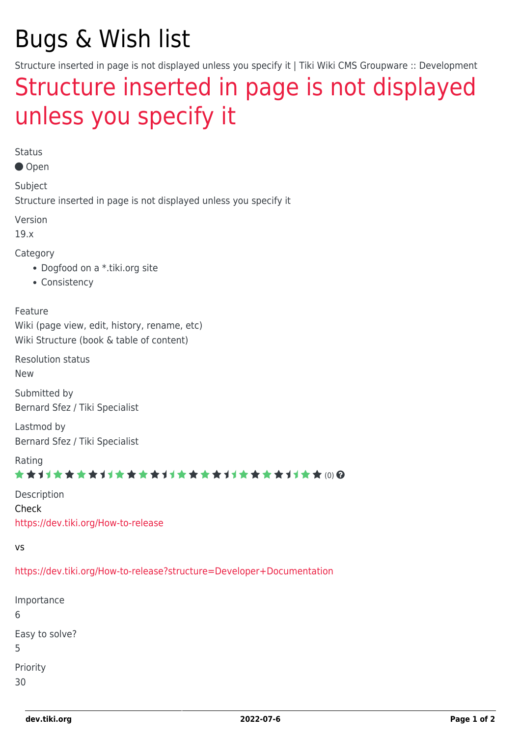# Bugs & Wish list

Structure inserted in page is not displayed unless you specify it | Tiki Wiki CMS Groupware :: Development

## [Structure inserted in page is not displayed](https://dev.tiki.org/item6938-Structure-inserted-in-page-is-not-displayed-unless-you-specify-it) [unless you specify it](https://dev.tiki.org/item6938-Structure-inserted-in-page-is-not-displayed-unless-you-specify-it)

Status

● Open

Subject

Structure inserted in page is not displayed unless you specify it

Version

19.x

Category

- Dogfood on a \*.tiki.org site
- Consistency

Feature

Wiki (page view, edit, history, rename, etc) Wiki Structure (book & table of content)

Resolution status New

Submitted by Bernard Sfez / Tiki Specialist

Lastmod by Bernard Sfez / Tiki Specialist

Rating

#### \*\*\*\*\*\*\*\*\*\*\*\*\*\*\*\*\*\*\*\*\*\*\*\*\*\*\*\*\*\*

Description Check <https://dev.tiki.org/How-to-release>

vs

<https://dev.tiki.org/How-to-release?structure=Developer+Documentation>

Importance 6 Easy to solve? 5 Priority 30